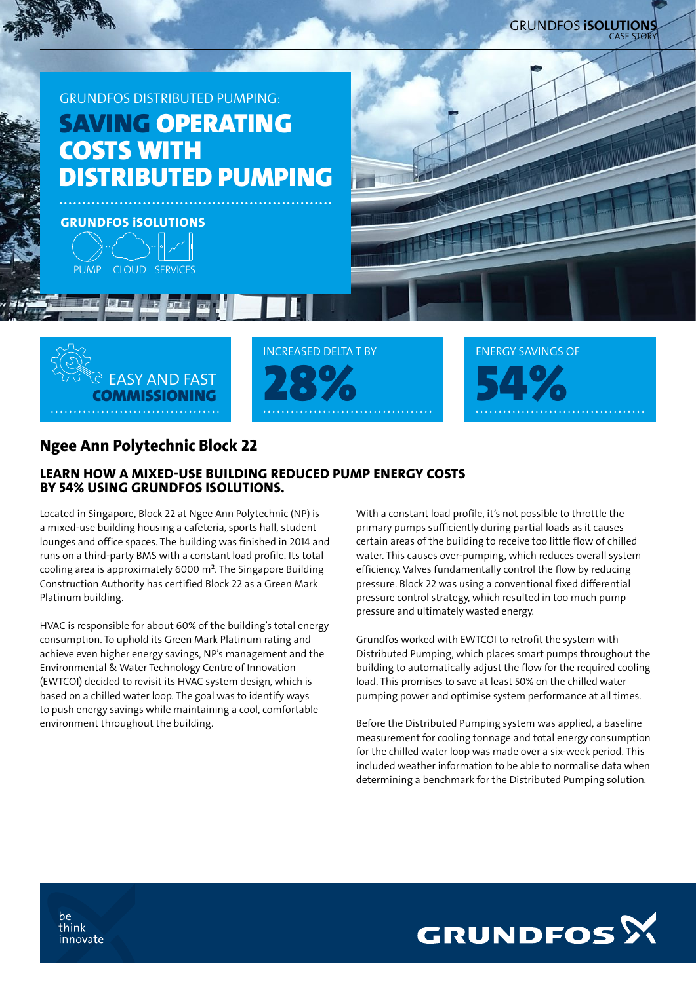



INCREASED DELTA T BY



# Ngee Ann Polytechnic Block 22

## LEARN HOW A MIXED-USE BUILDING REDUCED PUMP ENERGY COSTS BY 54% USING GRUNDFOS ISOLUTIONS.

Located in Singapore, Block 22 at Ngee Ann Polytechnic (NP) is a mixed-use building housing a cafeteria, sports hall, student lounges and office spaces. The building was finished in 2014 and runs on a third-party BMS with a constant load profile. Its total cooling area is approximately 6000 m². The Singapore Building Construction Authority has certified Block 22 as a Green Mark Platinum building.

HVAC is responsible for about 60% of the building's total energy consumption. To uphold its Green Mark Platinum rating and achieve even higher energy savings, NP's management and the Environmental & Water Technology Centre of Innovation (EWTCOI) decided to revisit its HVAC system design, which is based on a chilled water loop. The goal was to identify ways to push energy savings while maintaining a cool, comfortable environment throughout the building.

With a constant load profile, it's not possible to throttle the primary pumps sufficiently during partial loads as it causes certain areas of the building to receive too little flow of chilled water. This causes over-pumping, which reduces overall system efficiency. Valves fundamentally control the flow by reducing pressure. Block 22 was using a conventional fixed differential pressure control strategy, which resulted in too much pump pressure and ultimately wasted energy.

Grundfos worked with EWTCOI to retrofit the system with Distributed Pumping, which places smart pumps throughout the building to automatically adjust the flow for the required cooling load. This promises to save at least 50% on the chilled water pumping power and optimise system performance at all times.

Before the Distributed Pumping system was applied, a baseline measurement for cooling tonnage and total energy consumption for the chilled water loop was made over a six-week period. This included weather information to be able to normalise data when determining a benchmark for the Distributed Pumping solution.



be think innovate